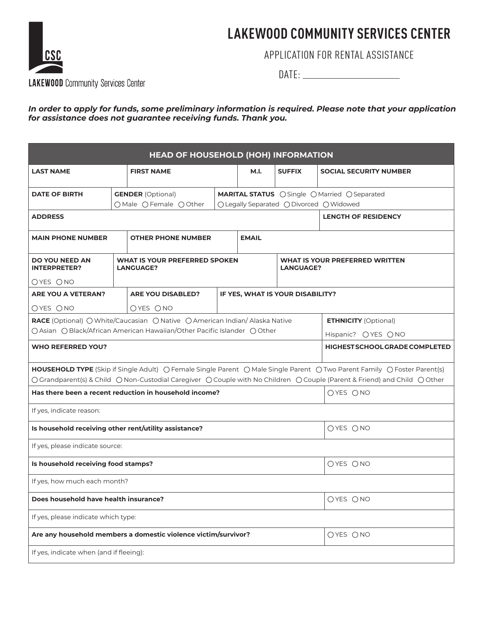# **LAKEWOOD COMMUNITY SERVICES CENTER**



APPLICATION FOR RENTAL ASSISTANCE

DATE:

*In order to apply for funds, some preliminary information is required. Please note that your application for assistance does not guarantee receiving funds. Thank you.*

| HEAD OF HOUSEHOLD (HOH) INFORMATION                                        |                                                                                                                                                                                                 |                                                                             |                                |                               |                                  |                                                                                                                          |  |
|----------------------------------------------------------------------------|-------------------------------------------------------------------------------------------------------------------------------------------------------------------------------------------------|-----------------------------------------------------------------------------|--------------------------------|-------------------------------|----------------------------------|--------------------------------------------------------------------------------------------------------------------------|--|
| <b>LAST NAME</b><br><b>FIRST NAME</b>                                      |                                                                                                                                                                                                 | M.I.                                                                        | <b>SUFFIX</b>                  | <b>SOCIAL SECURITY NUMBER</b> |                                  |                                                                                                                          |  |
| <b>DATE OF BIRTH</b>                                                       |                                                                                                                                                                                                 | <b>GENDER</b> (Optional)<br>○ Male ○ Female ○ Other                         |                                |                               |                                  | <b>MARITAL STATUS</b> O Single O Married O Separated<br>○ Legally Separated ○ Divorced ○ Widowed                         |  |
| <b>ADDRESS</b>                                                             |                                                                                                                                                                                                 |                                                                             |                                |                               |                                  | <b>LENGTH OF RESIDENCY</b>                                                                                               |  |
| <b>MAIN PHONE NUMBER</b>                                                   | <b>OTHER PHONE NUMBER</b>                                                                                                                                                                       |                                                                             | <b>EMAIL</b>                   |                               |                                  |                                                                                                                          |  |
| <b>DO YOU NEED AN</b><br><b>INTERPRETER?</b>                               | <b>WHAT IS YOUR PREFERRED SPOKEN</b><br><b>LANGUAGE?</b><br><b>LANGUAGE?</b>                                                                                                                    |                                                                             | WHAT IS YOUR PREFERRED WRITTEN |                               |                                  |                                                                                                                          |  |
| OYES ONO                                                                   |                                                                                                                                                                                                 |                                                                             |                                |                               |                                  |                                                                                                                          |  |
| ARE YOU A VETERAN?                                                         |                                                                                                                                                                                                 | <b>ARE YOU DISABLED?</b>                                                    |                                |                               | IF YES, WHAT IS YOUR DISABILITY? |                                                                                                                          |  |
| OYES ONO                                                                   |                                                                                                                                                                                                 | OYES ONO                                                                    |                                |                               |                                  |                                                                                                                          |  |
|                                                                            |                                                                                                                                                                                                 | RACE (Optional) O White/Caucasian O Native O American Indian/ Alaska Native |                                |                               |                                  | <b>ETHNICITY</b> (Optional)                                                                                              |  |
|                                                                            |                                                                                                                                                                                                 | ○ Asian ○ Black/African American Hawaiian/Other Pacific Islander ○ Other    |                                |                               |                                  | Hispanic? OYES ONO                                                                                                       |  |
| <b>WHO REFERRED YOU?</b>                                                   |                                                                                                                                                                                                 |                                                                             |                                |                               |                                  | <b>HIGHEST SCHOOL GRADE COMPLETED</b>                                                                                    |  |
|                                                                            |                                                                                                                                                                                                 |                                                                             |                                |                               |                                  | HOUSEHOLD TYPE (Skip if Single Adult) O Female Single Parent O Male Single Parent O Two Parent Family O Foster Parent(s) |  |
|                                                                            | ○ Grandparent(s) & Child ○ Non-Custodial Caregiver ○ Couple with No Children ○ Couple (Parent & Friend) and Child ○ Other<br>Has there been a recent reduction in household income?<br>OYES ONO |                                                                             |                                |                               |                                  |                                                                                                                          |  |
| If yes, indicate reason:                                                   |                                                                                                                                                                                                 |                                                                             |                                |                               |                                  |                                                                                                                          |  |
| Is household receiving other rent/utility assistance?<br>OYES ONO          |                                                                                                                                                                                                 |                                                                             |                                |                               |                                  |                                                                                                                          |  |
| If yes, please indicate source:                                            |                                                                                                                                                                                                 |                                                                             |                                |                               |                                  |                                                                                                                          |  |
| Is household receiving food stamps?                                        |                                                                                                                                                                                                 |                                                                             |                                |                               |                                  | OYES ONO                                                                                                                 |  |
| If yes, how much each month?                                               |                                                                                                                                                                                                 |                                                                             |                                |                               |                                  |                                                                                                                          |  |
| OYES ONO<br>Does household have health insurance?                          |                                                                                                                                                                                                 |                                                                             |                                |                               |                                  |                                                                                                                          |  |
| If yes, please indicate which type:                                        |                                                                                                                                                                                                 |                                                                             |                                |                               |                                  |                                                                                                                          |  |
| Are any household members a domestic violence victim/survivor?<br>OYES ONO |                                                                                                                                                                                                 |                                                                             |                                |                               |                                  |                                                                                                                          |  |
| If yes, indicate when (and if fleeing):                                    |                                                                                                                                                                                                 |                                                                             |                                |                               |                                  |                                                                                                                          |  |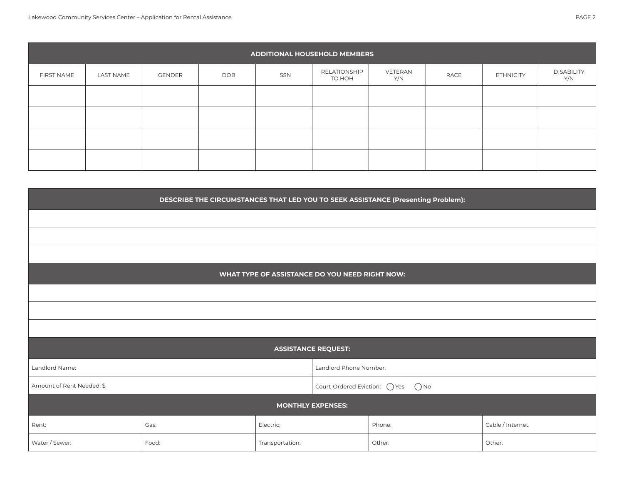|                   |           |        |     |     | <b>ADDITIONAL HOUSEHOLD MEMBERS</b> |                |      |                  |                          |
|-------------------|-----------|--------|-----|-----|-------------------------------------|----------------|------|------------------|--------------------------|
| <b>FIRST NAME</b> | LAST NAME | GENDER | DOB | SSN | RELATIONSHIP<br>TO HOH              | VETERAN<br>Y/N | RACE | <b>ETHNICITY</b> | <b>DISABILITY</b><br>Y/N |
|                   |           |        |     |     |                                     |                |      |                  |                          |
|                   |           |        |     |     |                                     |                |      |                  |                          |
|                   |           |        |     |     |                                     |                |      |                  |                          |
|                   |           |        |     |     |                                     |                |      |                  |                          |

| DESCRIBE THE CIRCUMSTANCES THAT LED YOU TO SEEK ASSISTANCE (Presenting Problem): |                                                |                                                |                        |        |                   |
|----------------------------------------------------------------------------------|------------------------------------------------|------------------------------------------------|------------------------|--------|-------------------|
|                                                                                  |                                                |                                                |                        |        |                   |
|                                                                                  |                                                |                                                |                        |        |                   |
|                                                                                  |                                                |                                                |                        |        |                   |
|                                                                                  |                                                | WHAT TYPE OF ASSISTANCE DO YOU NEED RIGHT NOW: |                        |        |                   |
|                                                                                  |                                                |                                                |                        |        |                   |
|                                                                                  |                                                |                                                |                        |        |                   |
|                                                                                  |                                                |                                                |                        |        |                   |
|                                                                                  |                                                | <b>ASSISTANCE REQUEST:</b>                     |                        |        |                   |
| Landlord Name:                                                                   |                                                |                                                | Landlord Phone Number: |        |                   |
| Amount of Rent Needed: \$                                                        | Court-Ordered Eviction: ○ Yes<br>$\bigcirc$ No |                                                |                        |        |                   |
| <b>MONTHLY EXPENSES:</b>                                                         |                                                |                                                |                        |        |                   |
| Rent:                                                                            | Gas:                                           | Electric;                                      |                        | Phone: | Cable / Internet: |
| Water / Sewer:                                                                   | Food:                                          | Transportation:                                |                        | Other: | Other:            |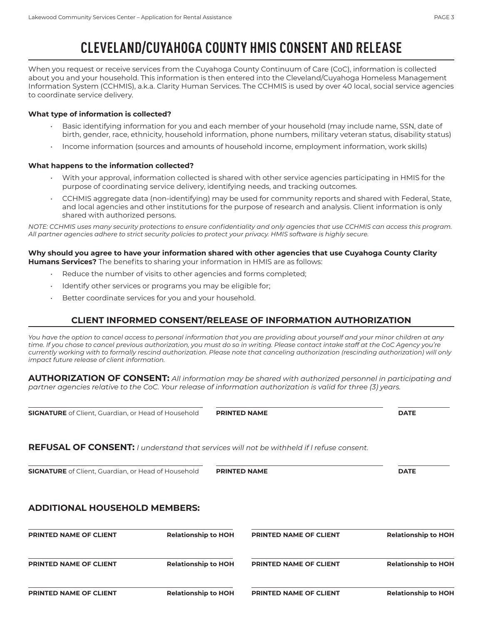# **CLEVELAND/CUYAHOGA COUNTY HMIS CONSENT AND RELEASE**

When you request or receive services from the Cuyahoga County Continuum of Care (CoC), information is collected about you and your household. This information is then entered into the Cleveland/Cuyahoga Homeless Management Information System (CCHMIS), a.k.a. Clarity Human Services. The CCHMIS is used by over 40 local, social service agencies to coordinate service delivery.

#### **What type of information is collected?**

- Basic identifying information for you and each member of your household (may include name, SSN, date of birth, gender, race, ethnicity, household information, phone numbers, military veteran status, disability status)
- Income information (sources and amounts of household income, employment information, work skills)

#### **What happens to the information collected?**

- With your approval, information collected is shared with other service agencies participating in HMIS for the purpose of coordinating service delivery, identifying needs, and tracking outcomes.
- CCHMIS aggregate data (non-identifying) may be used for community reports and shared with Federal, State, and local agencies and other institutions for the purpose of research and analysis. Client information is only shared with authorized persons.

*NOTE: CCHMIS uses many security protections to ensure confidentiality and only agencies that use CCHMIS can access this program. All partner agencies adhere to strict security policies to protect your privacy. HMIS software is highly secure.* 

#### **Why should you agree to have your information shared with other agencies that use Cuyahoga County Clarity Humans Services?** The benefits to sharing your information in HMIS are as follows:

- Reduce the number of visits to other agencies and forms completed;
- Identify other services or programs you may be eligible for;
- Better coordinate services for you and your household.

### **CLIENT INFORMED CONSENT/RELEASE OF INFORMATION AUTHORIZATION**

*You have the option to cancel access to personal information that you are providing about yourself and your minor children at any time. If you chose to cancel previous authorization, you must do so in writing. Please contact intake staff at the CoC Agency you're currently working with to formally rescind authorization. Please note that canceling authorization (rescinding authorization) will only impact future release of client information.*

**AUTHORIZATION OF CONSENT:** *All information may be shared with authorized personnel in participating and partner agencies relative to the CoC. Your release of information authorization is valid for three (3) years.* 

**SIGNATURE** of Client, Guardian, or Head of Household **PRINTED NAME DATE** 

### **REFUSAL OF CONSENT:** *I understand that services will not be withheld if l refuse consent.*

**SIGNATURE** of Client, Guardian, or Head of Household **PRINTED NAME DATE** 

### **ADDITIONAL HOUSEHOLD MEMBERS:**

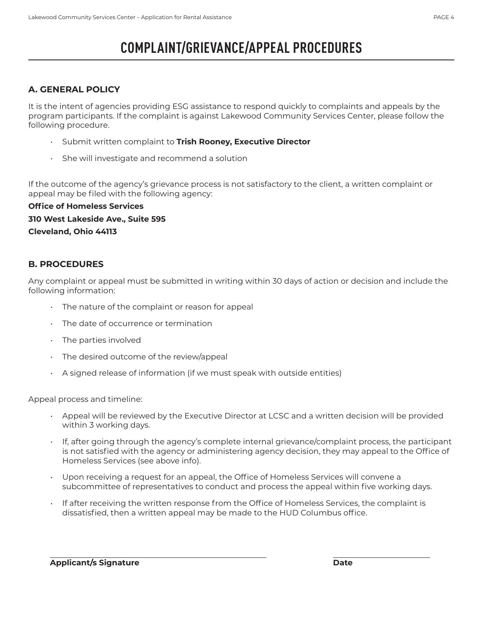# **COMPLAINT/GRIEVANCE/APPEAL PROCEDURES**

## **A. GENERAL POLICY**

It is the intent of agencies providing ESG assistance to respond quickly to complaints and appeals by the program participants. If the complaint is against Lakewood Community Services Center, please follow the following procedure.

- Submit written complaint to **Trish Rooney, Executive Director**
- She will investigate and recommend a solution

If the outcome of the agency's grievance process is not satisfactory to the client, a written complaint or appeal may be filed with the following agency:

**Office of Homeless Services 310 West Lakeside Ave., Suite 595 Cleveland, Ohio 44113**

### **B. PROCEDURES**

Any complaint or appeal must be submitted in writing within 30 days of action or decision and include the following information:

- The nature of the complaint or reason for appeal
- The date of occurrence or termination
- The parties involved
- The desired outcome of the review/appeal
- A signed release of information (if we must speak with outside entities)

Appeal process and timeline:

- Appeal will be reviewed by the Executive Director at LCSC and a written decision will be provided within 3 working days.
- If, after going through the agency's complete internal grievance/complaint process, the participant is not satisfied with the agency or administering agency decision, they may appeal to the Office of Homeless Services (see above info).
- Upon receiving a request for an appeal, the Office of Homeless Services will convene a subcommittee of representatives to conduct and process the appeal within five working days.
- If after receiving the written response from the Office of Homeless Services, the complaint is dissatisfied, then a written appeal may be made to the HUD Columbus office.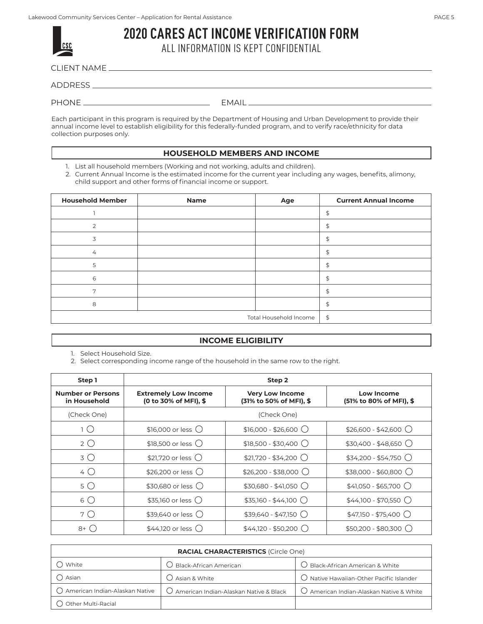| csc |  |
|-----|--|
|     |  |

**2020 CARES ACT INCOME VERIFICATION FORM** ALL INFORMATION IS KEPT CONFIDENTIAL

CLIENT NAME

ADDRESS

PHONE EMAIL

Each participant in this program is required by the Department of Housing and Urban Development to provide their annual income level to establish eligibility for this federally-funded program, and to verify race/ethnicity for data collection purposes only.

### **HOUSEHOLD MEMBERS AND INCOME**

1. List all household members (Working and not working, adults and children).

2. Current Annual Income is the estimated income for the current year including any wages, benefits, alimony, child support and other forms of financial income or support.

| <b>Household Member</b> | Name | Age                    | <b>Current Annual Income</b> |
|-------------------------|------|------------------------|------------------------------|
|                         |      |                        | \$                           |
| 2                       |      |                        | \$                           |
| 3                       |      |                        | $\updownarrow$               |
| $\overline{4}$          |      |                        | \$                           |
| 5                       |      |                        | \$                           |
| 6                       |      |                        | \$                           |
| 7                       |      |                        | \$                           |
| 8                       |      |                        | \$                           |
|                         |      | Total Household Income | \$                           |

### **INCOME ELIGIBILITY**

1. Select Household Size.

2. Select corresponding income range of the household in the same row to the right.

| Step 1                                   | Step 2                                               |                                                   |                                              |  |
|------------------------------------------|------------------------------------------------------|---------------------------------------------------|----------------------------------------------|--|
| <b>Number or Persons</b><br>in Household | <b>Extremely Low Income</b><br>(0 to 30% of MFI), \$ | <b>Very Low Income</b><br>(31% to 50% of MFI), \$ | <b>Low Income</b><br>(51% to 80% of MFI), \$ |  |
| (Check One)                              |                                                      | (Check One)                                       |                                              |  |
| 1 ( )                                    | $$16,000$ or less $\bigcirc$                         | $$16,000 - $26,600$ $\bigcirc$                    | $$26,600 - $42,600$                          |  |
| $2^{\circ}$                              | $$18,500$ or less $\bigcirc$                         | $$18,500 - $30,400$                               | $$30,400 - $48,650$                          |  |
| 3()                                      | $$21,720$ or less $\bigcirc$                         | $$21,720 - $34,200$                               | $$34,200 - $54,750$                          |  |
| 4 O                                      | \$26,200 or less $\bigcirc$                          | $$26,200 - $38,000$                               | $$38,000 - $60,800$                          |  |
| 5()                                      | \$30,680 or less ()                                  | $$30,680 - $41,050$ $\bigcirc$                    | $$41,050 - $65,700$                          |  |
| 6 Q                                      | $$35,160$ or less $\bigcirc$                         | $$35,160 - $44,100$                               | $$44,100 - $70,550$                          |  |
| 7 ( )                                    | \$39,640 or less $()$                                | $$39,640 - $47,150$                               | $$47,150 - $75,400$                          |  |
| $8+()$                                   | $$44,120$ or less $\bigcirc$                         | $$44,120 - $50,200$ $\bigcirc$                    | $$50,200 - $80,300$ $\bigcirc$               |  |

| <b>RACIAL CHARACTERISTICS (Circle One)</b> |                                                   |                                                   |  |  |
|--------------------------------------------|---------------------------------------------------|---------------------------------------------------|--|--|
| White                                      | Black-African American                            | Black-African American & White                    |  |  |
| Asian                                      | Asian & White                                     | $\bigcirc$ Native Hawaiian-Other Pacific Islander |  |  |
| ○ American Indian-Alaskan Native           | $\bigcirc$ American Indian-Alaskan Native & Black | $\bigcirc$ American Indian-Alaskan Native & White |  |  |
| <b>Other Multi-Racial</b>                  |                                                   |                                                   |  |  |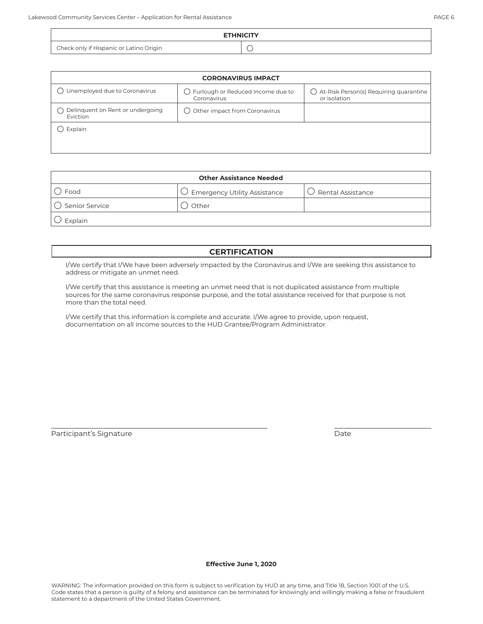| <b>CORONAVIRUS IMPACT</b>                    |                                                     |                                                                   |  |
|----------------------------------------------|-----------------------------------------------------|-------------------------------------------------------------------|--|
| Unemployed due to Coronavirus                | () Furlough or Reduced Income due to<br>Coronavirus | $\bigcirc$ At-Risk Person(s) Requiring quarantine<br>or isolation |  |
| Delinquent on Rent or undergoing<br>Eviction | $\bigcap$ Other impact from Coronavirus             |                                                                   |  |
| Explain                                      |                                                     |                                                                   |  |

| <b>Other Assistance Needed</b> |                                         |                             |  |  |
|--------------------------------|-----------------------------------------|-----------------------------|--|--|
| Food                           | $\bigcirc$ Emergency Utility Assistance | $\bigcup$ Rental Assistance |  |  |
| $\bigcirc$ Senior Service      | Other                                   |                             |  |  |
| Explain                        |                                         |                             |  |  |

### **CERTIFICATION**

I/We certify that I/We have been adversely impacted by the Coronavirus and I/We are seeking this assistance to address or mitigate an unmet need.

I/We certify that this assistance is meeting an unmet need that is not duplicated assistance from multiple sources for the same coronavirus response purpose, and the total assistance received for that purpose is not more than the total need.

I/We certify that this information is complete and accurate. I/We agree to provide, upon request, documentation on all income sources to the HUD Grantee/Program Administrator.

Participant's Signature Date and Date Date Date Date

**Effective June 1, 2020**

WARNING: The information provided on this form is subject to verification by HUD at any time, and Title 18, Section 1001 of the U.S. Code states that a person is guilty of a felony and assistance can be terminated for knowingly and willingly making a false or fraudulent statement to a department of the United States Government.